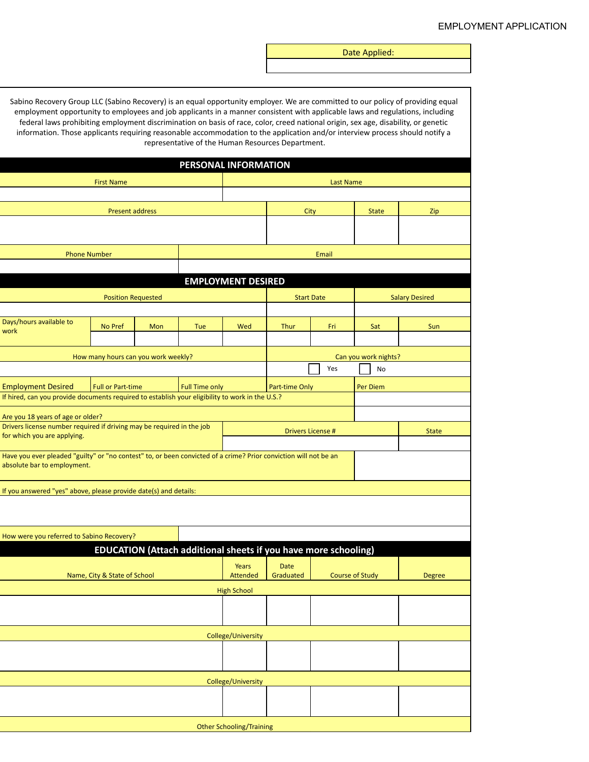Date Applied:

| PERSONAL INFORMATION                                                                                                                            |                                     |     |                                                                 |                    |                                            |       |                        |               |
|-------------------------------------------------------------------------------------------------------------------------------------------------|-------------------------------------|-----|-----------------------------------------------------------------|--------------------|--------------------------------------------|-------|------------------------|---------------|
| <b>First Name</b>                                                                                                                               |                                     |     |                                                                 | <b>Last Name</b>   |                                            |       |                        |               |
|                                                                                                                                                 |                                     |     |                                                                 |                    |                                            |       |                        |               |
| <b>Present address</b>                                                                                                                          |                                     |     |                                                                 |                    | City                                       |       | <b>State</b>           | Zip           |
|                                                                                                                                                 |                                     |     |                                                                 |                    |                                            |       |                        |               |
|                                                                                                                                                 |                                     |     |                                                                 |                    |                                            | Email |                        |               |
| <b>Phone Number</b>                                                                                                                             |                                     |     |                                                                 |                    |                                            |       |                        |               |
| <b>EMPLOYMENT DESIRED</b>                                                                                                                       |                                     |     |                                                                 |                    |                                            |       |                        |               |
|                                                                                                                                                 | <b>Position Requested</b>           |     |                                                                 |                    | <b>Start Date</b><br><b>Salary Desired</b> |       |                        |               |
|                                                                                                                                                 |                                     |     |                                                                 |                    |                                            |       |                        |               |
| Days/hours available to<br>work                                                                                                                 | No Pref                             | Mon | Tue                                                             | Wed                | Thur                                       | Fri   | Sat                    | Sun           |
|                                                                                                                                                 | How many hours can you work weekly? |     |                                                                 |                    | Can you work nights?                       |       |                        |               |
|                                                                                                                                                 |                                     |     |                                                                 |                    |                                            | Yes   | No                     |               |
| <b>Employment Desired</b>                                                                                                                       | <b>Full or Part-time</b>            |     | <b>Full Time only</b>                                           |                    | Part-time Only                             |       | Per Diem               |               |
| If hired, can you provide documents required to establish your eligibility to work in the U.S.?                                                 |                                     |     |                                                                 |                    |                                            |       |                        |               |
| Are you 18 years of age or older?                                                                                                               |                                     |     |                                                                 |                    |                                            |       |                        |               |
| Drivers license number required if driving may be required in the job<br>for which you are applying.                                            |                                     |     |                                                                 |                    | <b>Drivers License #</b>                   |       | <b>State</b>           |               |
|                                                                                                                                                 |                                     |     |                                                                 |                    |                                            |       |                        |               |
| Have you ever pleaded "guilty" or "no contest" to, or been convicted of a crime? Prior conviction will not be an<br>absolute bar to employment. |                                     |     |                                                                 |                    |                                            |       |                        |               |
|                                                                                                                                                 |                                     |     |                                                                 |                    |                                            |       |                        |               |
| If you answered "yes" above, please provide date(s) and details:                                                                                |                                     |     |                                                                 |                    |                                            |       |                        |               |
|                                                                                                                                                 |                                     |     |                                                                 |                    |                                            |       |                        |               |
| How were you referred to Sabino Recovery?                                                                                                       |                                     |     |                                                                 |                    |                                            |       |                        |               |
|                                                                                                                                                 |                                     |     | EDUCATION (Attach additional sheets if you have more schooling) |                    |                                            |       |                        |               |
|                                                                                                                                                 | Name, City & State of School        |     |                                                                 | Years<br>Attended  | <b>Date</b><br>Graduated                   |       | <b>Course of Study</b> | <b>Degree</b> |
|                                                                                                                                                 |                                     |     |                                                                 | <b>High School</b> |                                            |       |                        |               |
|                                                                                                                                                 |                                     |     |                                                                 |                    |                                            |       |                        |               |
|                                                                                                                                                 |                                     |     |                                                                 |                    |                                            |       |                        |               |
| College/University                                                                                                                              |                                     |     |                                                                 |                    |                                            |       |                        |               |
|                                                                                                                                                 |                                     |     |                                                                 |                    |                                            |       |                        |               |
| College/University                                                                                                                              |                                     |     |                                                                 |                    |                                            |       |                        |               |
|                                                                                                                                                 |                                     |     |                                                                 |                    |                                            |       |                        |               |
|                                                                                                                                                 |                                     |     |                                                                 |                    |                                            |       |                        |               |
| <b>Other Schooling/Training</b>                                                                                                                 |                                     |     |                                                                 |                    |                                            |       |                        |               |

Sabino Recovery Group LLC (Sabino Recovery) is an equal opportunity employer. We are committed to our policy of providing equal employment opportunity to employees and job applicants in a manner consistent with applicable laws and regulations, including federal laws prohibiting employment discrimination on basis of race, color, creed national origin, sex age, disability, or genetic information. Those applicants requiring reasonable accommodation to the application and/or interview process should notify a representative of the Human Resources Department.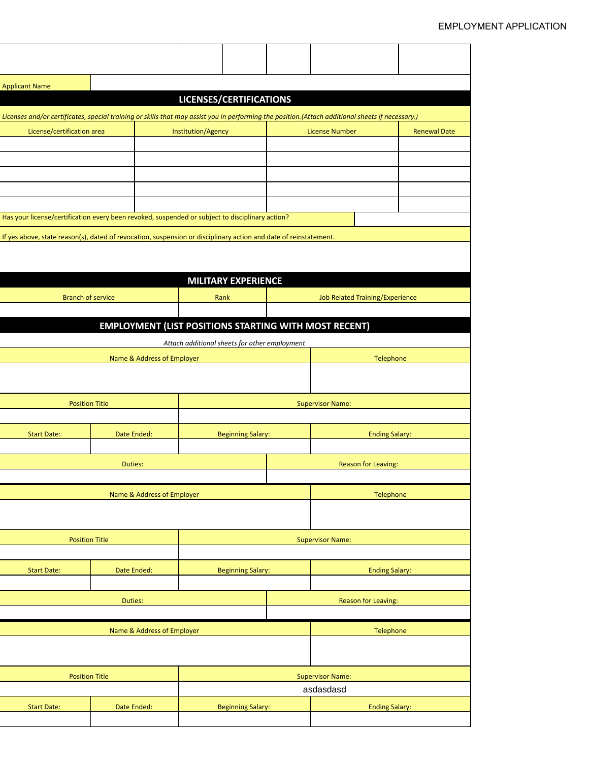| <b>Applicant Name</b>                                                                                                                             |                            |                                                              |  |                                        |                     |  |
|---------------------------------------------------------------------------------------------------------------------------------------------------|----------------------------|--------------------------------------------------------------|--|----------------------------------------|---------------------|--|
| LICENSES/CERTIFICATIONS                                                                                                                           |                            |                                                              |  |                                        |                     |  |
| Licenses and/or certificates, special training or skills that may assist you in performing the position. (Attach additional sheets if necessary.) |                            |                                                              |  |                                        |                     |  |
| License/certification area                                                                                                                        |                            | Institution/Agency                                           |  | <b>License Number</b>                  | <b>Renewal Date</b> |  |
|                                                                                                                                                   |                            |                                                              |  |                                        |                     |  |
|                                                                                                                                                   |                            |                                                              |  |                                        |                     |  |
|                                                                                                                                                   |                            |                                                              |  |                                        |                     |  |
|                                                                                                                                                   |                            |                                                              |  |                                        |                     |  |
|                                                                                                                                                   |                            |                                                              |  |                                        |                     |  |
| Has your license/certification every been revoked, suspended or subject to disciplinary action?                                                   |                            |                                                              |  |                                        |                     |  |
| If yes above, state reason(s), dated of revocation, suspension or disciplinary action and date of reinstatement.                                  |                            |                                                              |  |                                        |                     |  |
|                                                                                                                                                   |                            |                                                              |  |                                        |                     |  |
|                                                                                                                                                   |                            |                                                              |  |                                        |                     |  |
|                                                                                                                                                   |                            | <b>MILITARY EXPERIENCE</b>                                   |  |                                        |                     |  |
| <b>Branch of service</b>                                                                                                                          |                            | Rank                                                         |  | <b>Job Related Training/Experience</b> |                     |  |
|                                                                                                                                                   |                            |                                                              |  |                                        |                     |  |
|                                                                                                                                                   |                            | <b>EMPLOYMENT (LIST POSITIONS STARTING WITH MOST RECENT)</b> |  |                                        |                     |  |
|                                                                                                                                                   |                            |                                                              |  |                                        |                     |  |
|                                                                                                                                                   |                            | Attach additional sheets for other employment                |  |                                        |                     |  |
|                                                                                                                                                   | Name & Address of Employer |                                                              |  | Telephone                              |                     |  |
|                                                                                                                                                   |                            |                                                              |  |                                        |                     |  |
|                                                                                                                                                   |                            |                                                              |  |                                        |                     |  |
| <b>Position Title</b>                                                                                                                             |                            | <b>Supervisor Name:</b>                                      |  |                                        |                     |  |
|                                                                                                                                                   |                            |                                                              |  |                                        |                     |  |
| <b>Start Date:</b>                                                                                                                                | Date Ended:                | <b>Beginning Salary:</b>                                     |  | <b>Ending Salary:</b>                  |                     |  |
|                                                                                                                                                   |                            |                                                              |  |                                        |                     |  |
|                                                                                                                                                   | Duties:                    | <b>Reason for Leaving:</b>                                   |  |                                        |                     |  |
|                                                                                                                                                   |                            |                                                              |  |                                        |                     |  |
|                                                                                                                                                   | Name & Address of Employer | Telephone                                                    |  |                                        |                     |  |
|                                                                                                                                                   |                            |                                                              |  |                                        |                     |  |
|                                                                                                                                                   |                            |                                                              |  |                                        |                     |  |
| <b>Position Title</b>                                                                                                                             |                            |                                                              |  |                                        |                     |  |
|                                                                                                                                                   |                            | <b>Supervisor Name:</b>                                      |  |                                        |                     |  |
|                                                                                                                                                   |                            |                                                              |  |                                        |                     |  |
| <b>Start Date:</b>                                                                                                                                | Date Ended:                | <b>Beginning Salary:</b>                                     |  | <b>Ending Salary:</b>                  |                     |  |
|                                                                                                                                                   |                            |                                                              |  |                                        |                     |  |
|                                                                                                                                                   | Duties:                    | <b>Reason for Leaving:</b>                                   |  |                                        |                     |  |
|                                                                                                                                                   |                            |                                                              |  |                                        |                     |  |
|                                                                                                                                                   | Name & Address of Employer | Telephone                                                    |  |                                        |                     |  |
|                                                                                                                                                   |                            |                                                              |  |                                        |                     |  |
|                                                                                                                                                   |                            |                                                              |  |                                        |                     |  |
| <b>Position Title</b>                                                                                                                             |                            | <b>Supervisor Name:</b>                                      |  |                                        |                     |  |
|                                                                                                                                                   |                            | asdasdasd                                                    |  |                                        |                     |  |
| <b>Start Date:</b>                                                                                                                                | Date Ended:                | <b>Beginning Salary:</b>                                     |  | <b>Ending Salary:</b>                  |                     |  |
|                                                                                                                                                   |                            |                                                              |  |                                        |                     |  |